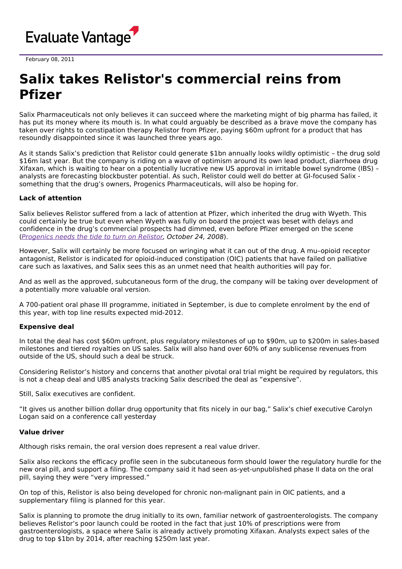

February 08, 2011

## **Salix takes Relistor's commercial reins from Pfizer**

Salix Pharmaceuticals not only believes it can succeed where the marketing might of big pharma has failed, it has put its money where its mouth is. In what could arguably be described as a brave move the company has taken over rights to constipation therapy Relistor from Pfizer, paying \$60m upfront for a product that has resoundly disappointed since it was launched three years ago.

As it stands Salix's prediction that Relistor could generate \$1bn annually looks wildly optimistic – the drug sold \$16m last year. But the company is riding on a wave of optimism around its own lead product, diarrhoea drug Xifaxan, which is waiting to hear on a potentially lucrative new US approval in irritable bowel syndrome (IBS) – analysts are forecasting blockbuster potential. As such, Relistor could well do better at GI-focused Salix something that the drug's owners, Progenics Pharmaceuticals, will also be hoping for.

## **Lack of attention**

Salix believes Relistor suffered from a lack of attention at Pfizer, which inherited the drug with Wyeth. This could certainly be true but even when Wyeth was fully on board the project was beset with delays and confidence in the drug's commercial prospects had dimmed, even before Pfizer emerged on the scene ([Progenics](http://www.epvantage.com/Universal/View.aspx?type=Story&id=167338&isEPVantage=yes) needs the tide to turn on Relistor, October 24, 2008).

However, Salix will certainly be more focused on wringing what it can out of the drug. A mu–opioid receptor antagonist, Relistor is indicated for opioid-induced constipation (OIC) patients that have failed on palliative care such as laxatives, and Salix sees this as an unmet need that health authorities will pay for.

And as well as the approved, subcutaneous form of the drug, the company will be taking over development of a potentially more valuable oral version.

A 700-patient oral phase III programme, initiated in September, is due to complete enrolment by the end of this year, with top line results expected mid-2012.

## **Expensive deal**

In total the deal has cost \$60m upfront, plus regulatory milestones of up to \$90m, up to \$200m in sales-based milestones and tiered royalties on US sales. Salix will also hand over 60% of any sublicense revenues from outside of the US, should such a deal be struck.

Considering Relistor's history and concerns that another pivotal oral trial might be required by regulators, this is not a cheap deal and UBS analysts tracking Salix described the deal as "expensive".

Still, Salix executives are confident.

"It gives us another billion dollar drug opportunity that fits nicely in our bag," Salix's chief executive Carolyn Logan said on a conference call yesterday

## **Value driver**

Although risks remain, the oral version does represent a real value driver.

Salix also reckons the efficacy profile seen in the subcutaneous form should lower the regulatory hurdle for the new oral pill, and support a filing. The company said it had seen as-yet-unpublished phase II data on the oral pill, saying they were "very impressed."

On top of this, Relistor is also being developed for chronic non-malignant pain in OIC patients, and a supplementary filing is planned for this year.

Salix is planning to promote the drug initially to its own, familiar network of gastroenterologists. The company believes Relistor's poor launch could be rooted in the fact that just 10% of prescriptions were from gastroenterologists, a space where Salix is already actively promoting Xifaxan. Analysts expect sales of the drug to top \$1bn by 2014, after reaching \$250m last year.